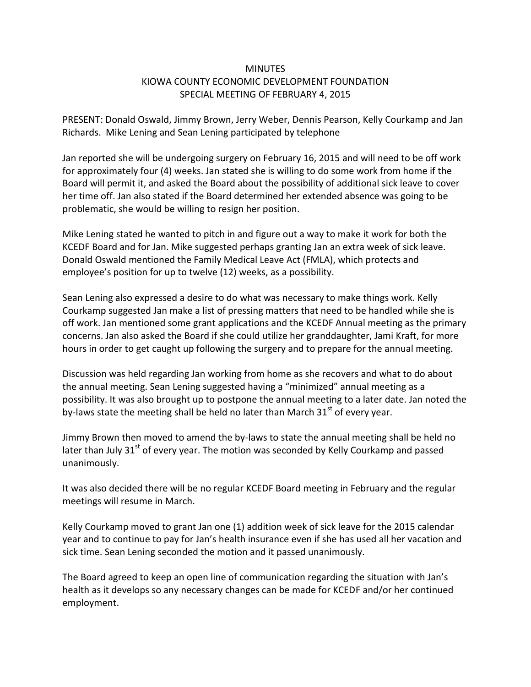## **MINUTFS** KIOWA COUNTY ECONOMIC DEVELOPMENT FOUNDATION SPECIAL MEETING OF FEBRUARY 4, 2015

PRESENT: Donald Oswald, Jimmy Brown, Jerry Weber, Dennis Pearson, Kelly Courkamp and Jan Richards. Mike Lening and Sean Lening participated by telephone

Jan reported she will be undergoing surgery on February 16, 2015 and will need to be off work for approximately four (4) weeks. Jan stated she is willing to do some work from home if the Board will permit it, and asked the Board about the possibility of additional sick leave to cover her time off. Jan also stated if the Board determined her extended absence was going to be problematic, she would be willing to resign her position.

Mike Lening stated he wanted to pitch in and figure out a way to make it work for both the KCEDF Board and for Jan. Mike suggested perhaps granting Jan an extra week of sick leave. Donald Oswald mentioned the Family Medical Leave Act (FMLA), which protects and employee's position for up to twelve (12) weeks, as a possibility.

Sean Lening also expressed a desire to do what was necessary to make things work. Kelly Courkamp suggested Jan make a list of pressing matters that need to be handled while she is off work. Jan mentioned some grant applications and the KCEDF Annual meeting as the primary concerns. Jan also asked the Board if she could utilize her granddaughter, Jami Kraft, for more hours in order to get caught up following the surgery and to prepare for the annual meeting.

Discussion was held regarding Jan working from home as she recovers and what to do about the annual meeting. Sean Lening suggested having a "minimized" annual meeting as a possibility. It was also brought up to postpone the annual meeting to a later date. Jan noted the by-laws state the meeting shall be held no later than March  $31<sup>st</sup>$  of every year.

Jimmy Brown then moved to amend the by-laws to state the annual meeting shall be held no later than July 31<sup>st</sup> of every year. The motion was seconded by Kelly Courkamp and passed unanimously.

It was also decided there will be no regular KCEDF Board meeting in February and the regular meetings will resume in March.

Kelly Courkamp moved to grant Jan one (1) addition week of sick leave for the 2015 calendar year and to continue to pay for Jan's health insurance even if she has used all her vacation and sick time. Sean Lening seconded the motion and it passed unanimously.

The Board agreed to keep an open line of communication regarding the situation with Jan's health as it develops so any necessary changes can be made for KCEDF and/or her continued employment.